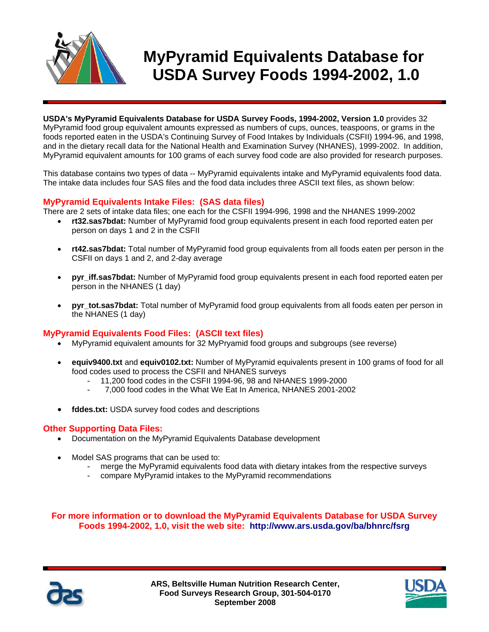

# **MyPyramid Equivalents Database for USDA Survey Foods 1994-2002, 1.0**

**USDA's MyPyramid Equivalents Database for USDA Survey Foods, 1994-2002, Version 1.0** provides 32 MyPyramid food group equivalent amounts expressed as numbers of cups, ounces, teaspoons, or grams in the foods reported eaten in the USDA's Continuing Survey of Food Intakes by Individuals (CSFII) 1994-96, and 1998, and in the dietary recall data for the National Health and Examination Survey (NHANES), 1999-2002. In addition, MyPyramid equivalent amounts for 100 grams of each survey food code are also provided for research purposes.

This database contains two types of data -- MyPyramid equivalents intake and MyPyramid equivalents food data. The intake data includes four SAS files and the food data includes three ASCII text files, as shown below:

### **MyPyramid Equivalents Intake Files: (SAS data files)**

There are 2 sets of intake data files; one each for the CSFII 1994-996, 1998 and the NHANES 1999-2002

- **rt32.sas7bdat:** Number of MyPyramid food group equivalents present in each food reported eaten per person on days 1 and 2 in the CSFII
- **rt42.sas7bdat:** Total number of MyPyramid food group equivalents from all foods eaten per person in the CSFII on days 1 and 2, and 2-day average
- **pyr** iff.sas7bdat: Number of MyPyramid food group equivalents present in each food reported eaten per person in the NHANES (1 day)
- **pyr\_tot.sas7bdat:** Total number of MyPyramid food group equivalents from all foods eaten per person in the NHANES (1 day)

#### **MyPyramid Equivalents Food Files: (ASCII text files)**

- MyPyramid equivalent amounts for 32 MyPryamid food groups and subgroups (see reverse)
- **equiv9400.txt** and **equiv0102.txt:** Number of MyPyramid equivalents present in 100 grams of food for all food codes used to process the CSFII and NHANES surveys
	- 11,200 food codes in the CSFII 1994-96, 98 and NHANES 1999-2000
	- 7,000 food codes in the What We Eat In America, NHANES 2001-2002
- **fddes.txt:** USDA survey food codes and descriptions

#### **Other Supporting Data Files:**

- Documentation on the MyPyramid Equivalents Database development
- Model SAS programs that can be used to:
	- merge the MyPyramid equivalents food data with dietary intakes from the respective surveys
	- compare MyPyramid intakes to the MyPyramid recommendations

**For more information or to download the MyPyramid Equivalents Database for USDA Survey Foods 1994-2002, 1.0, visit the web site: http://www.ars.usda.gov/ba/bhnrc/fsrg**